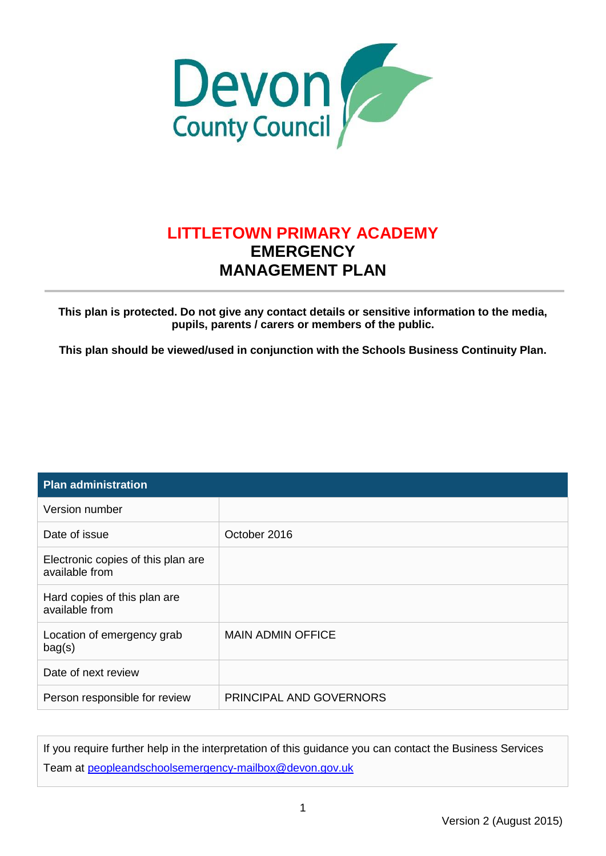

#### **LITTLETOWN PRIMARY ACADEMY EMERGENCY MANAGEMENT PLAN**

**This plan is protected. Do not give any contact details or sensitive information to the media, pupils, parents / carers or members of the public.**

**This plan should be viewed/used in conjunction with the Schools Business Continuity Plan.**

| <b>Plan administration</b>                           |                          |
|------------------------------------------------------|--------------------------|
| Version number                                       |                          |
| Date of issue                                        | October 2016             |
| Electronic copies of this plan are<br>available from |                          |
| Hard copies of this plan are<br>available from       |                          |
| Location of emergency grab<br>bag(s)                 | <b>MAIN ADMIN OFFICE</b> |
| Date of next review                                  |                          |
| Person responsible for review                        | PRINCIPAL AND GOVERNORS  |

If you require further help in the interpretation of this guidance you can contact the Business Services Team at peopleandschoolsemergency-mailbox@devon.gov.uk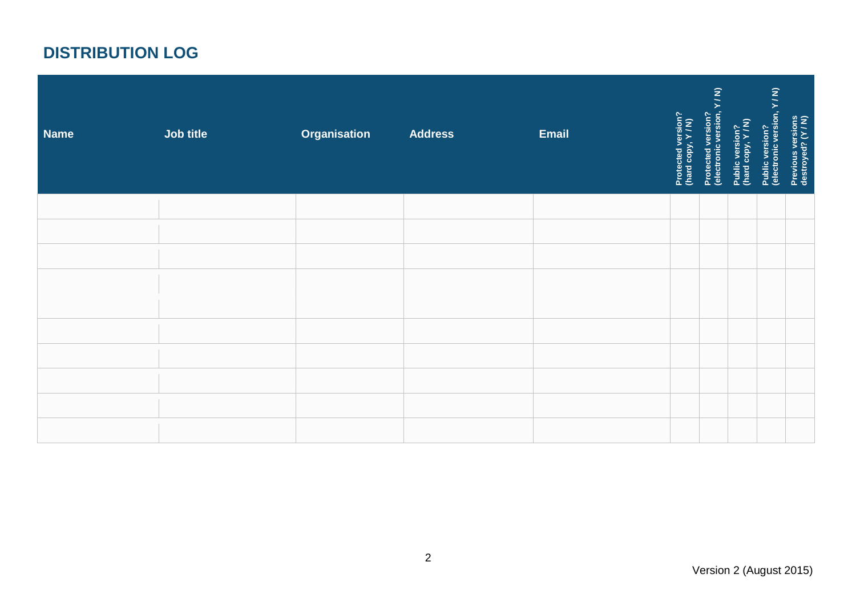## **DISTRIBUTION LOG**

| <b>Name</b> | Job title | <b>Organisation</b> | <b>Address</b> | <b>Email</b> | Protected version?<br>(hard copy, Y / N) | Protected version?<br>(electronic version, Y / N) | Public version?<br>(hard copy, Y / N) | Public version?<br>(electronic version, Y / N) | Previous versions<br>destroyed? (Y / N) |
|-------------|-----------|---------------------|----------------|--------------|------------------------------------------|---------------------------------------------------|---------------------------------------|------------------------------------------------|-----------------------------------------|
|             |           |                     |                |              |                                          |                                                   |                                       |                                                |                                         |
|             |           |                     |                |              |                                          |                                                   |                                       |                                                |                                         |
|             |           |                     |                |              |                                          |                                                   |                                       |                                                |                                         |
|             |           |                     |                |              |                                          |                                                   |                                       |                                                |                                         |
|             |           |                     |                |              |                                          |                                                   |                                       |                                                |                                         |
|             |           |                     |                |              |                                          |                                                   |                                       |                                                |                                         |
|             |           |                     |                |              |                                          |                                                   |                                       |                                                |                                         |
|             |           |                     |                |              |                                          |                                                   |                                       |                                                |                                         |
|             |           |                     |                |              |                                          |                                                   |                                       |                                                |                                         |
|             |           |                     |                |              |                                          |                                                   |                                       |                                                |                                         |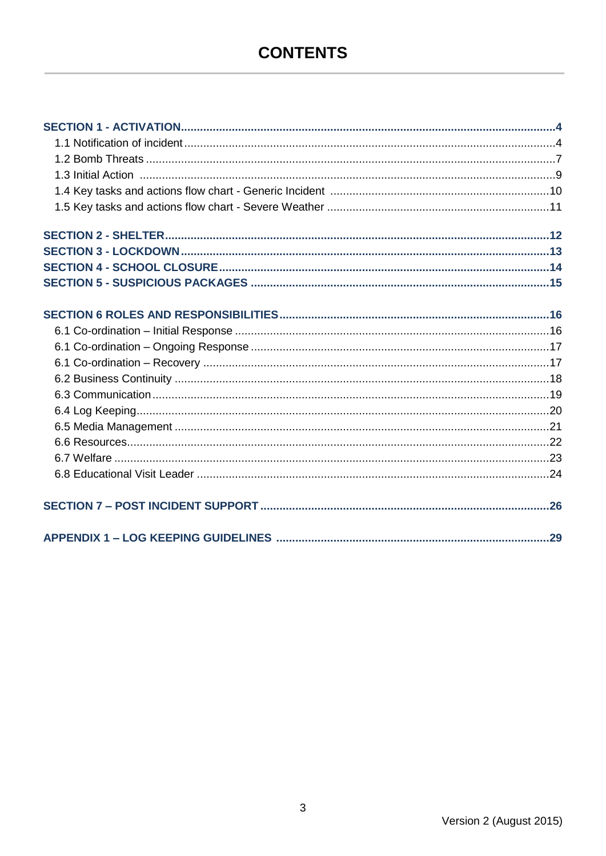<span id="page-2-0"></span>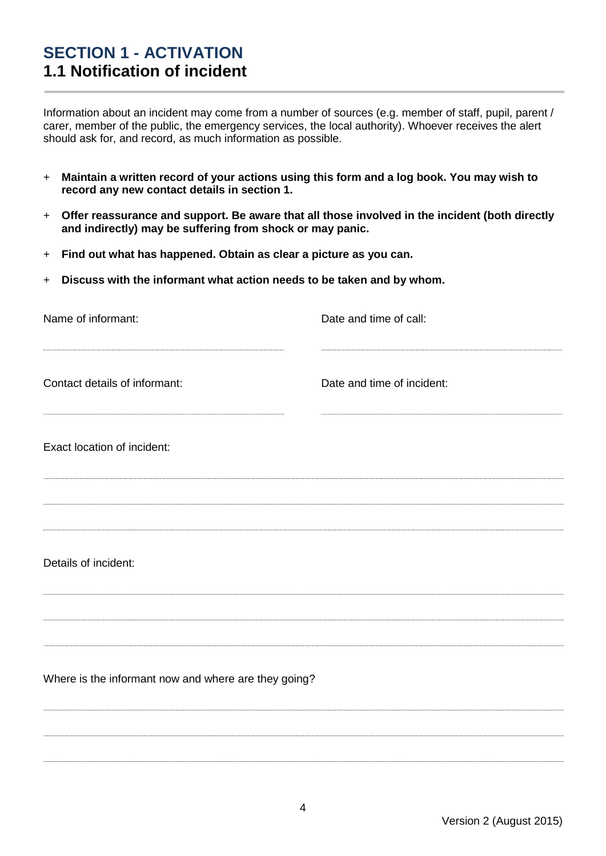#### <span id="page-3-0"></span>**SECTION 1 - ACTIVATION 1.1 Notification of incident**

Information about an incident may come from a number of sources (e.g. member of staff, pupil, parent / carer, member of the public, the emergency services, the local authority). Whoever receives the alert should ask for, and record, as much information as possible.

- + **Maintain a written record of your actions using this form and a log book. You may wish to record any new contact details in section 1.**
- + **Offer reassurance and support. Be aware that all those involved in the incident (both directly and indirectly) may be suffering from shock or may panic.**
- + **Find out what has happened. Obtain as clear a picture as you can.**
- + **Discuss with the informant what action needs to be taken and by whom.**

| Name of informant:                                   | Date and time of call:     |
|------------------------------------------------------|----------------------------|
| Contact details of informant:                        | Date and time of incident: |
| Exact location of incident:                          |                            |
| Details of incident:                                 |                            |
| Where is the informant now and where are they going? |                            |
|                                                      |                            |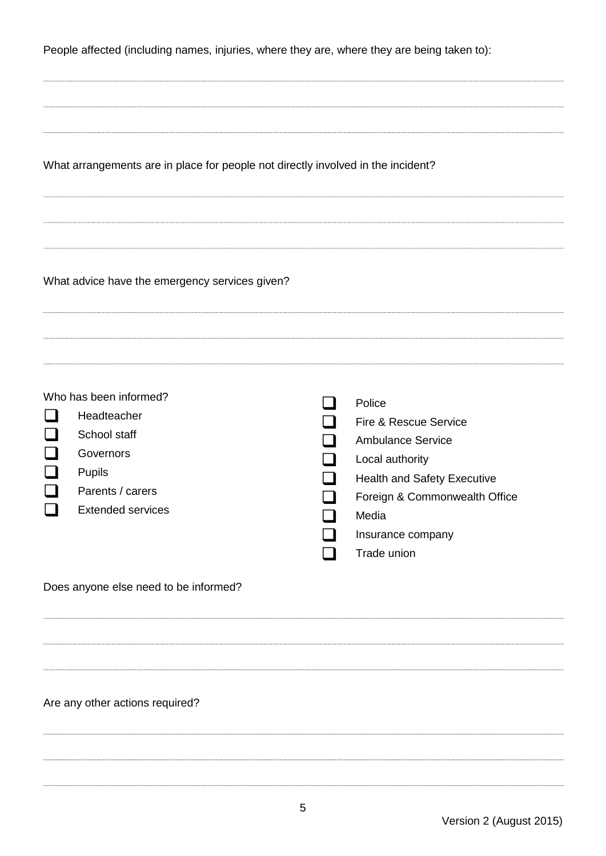People affected (including names, injuries, where they are, where they are being taken to):

| What arrangements are in place for people not directly involved in the incident? |  |  |  |
|----------------------------------------------------------------------------------|--|--|--|
|                                                                                  |  |  |  |

What advice have the emergency services given?

| Who has been informed?   | Police                             |
|--------------------------|------------------------------------|
| Headteacher              | Fire & Rescue Service              |
| School staff             | <b>Ambulance Service</b>           |
| Governors                | Local authority                    |
| <b>Pupils</b>            | <b>Health and Safety Executive</b> |
| Parents / carers         | Foreign & Commonwealth Office      |
| <b>Extended services</b> | Media                              |
|                          | Insurance company                  |
|                          | Trade union                        |

Does anyone else need to be informed?

#### Are any other actions required?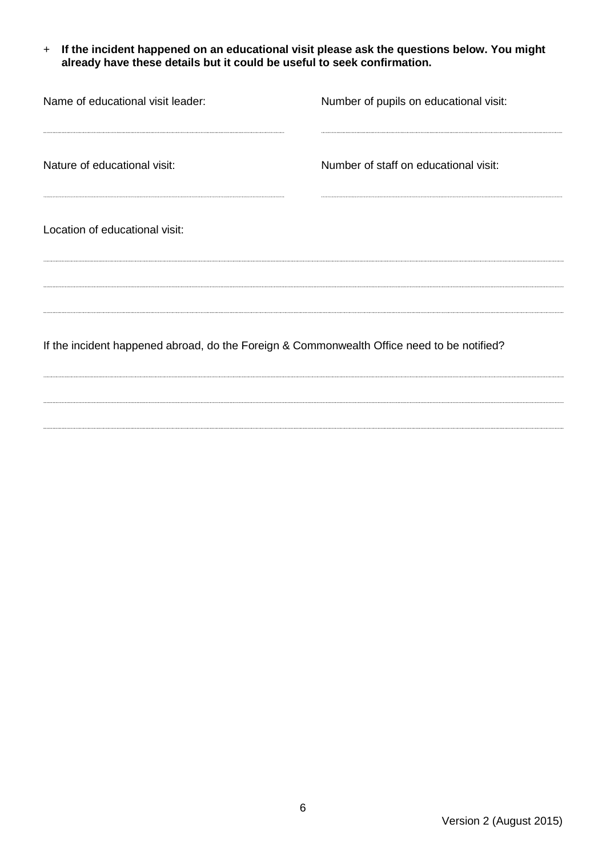+ **If the incident happened on an educational visit please ask the questions below. You might already have these details but it could be useful to seek confirmation.**

| Name of educational visit leader:                                                          | Number of pupils on educational visit: |
|--------------------------------------------------------------------------------------------|----------------------------------------|
| Nature of educational visit:                                                               | Number of staff on educational visit:  |
| Location of educational visit:                                                             |                                        |
| If the incident happened abroad, do the Foreign & Commonwealth Office need to be notified? |                                        |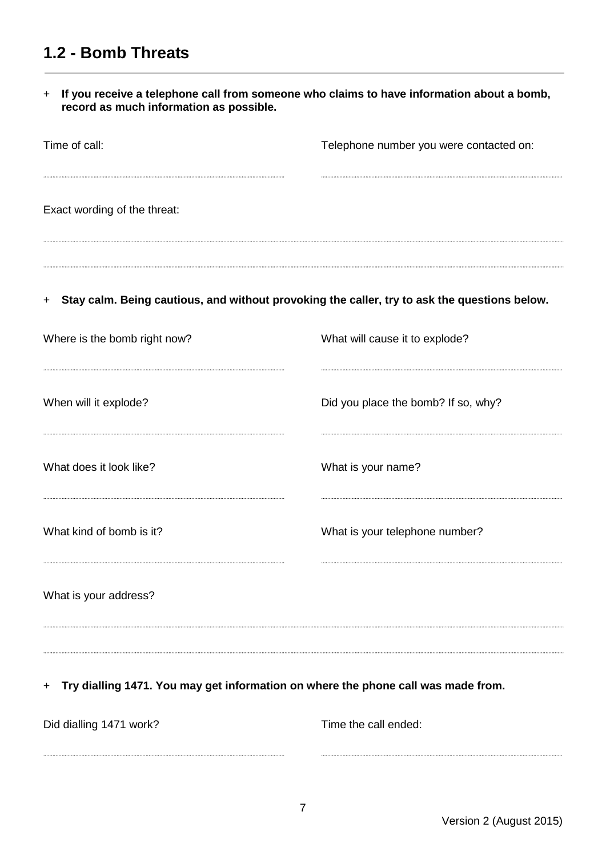#### <span id="page-6-0"></span>**1.2 - Bomb Threats**

+ **If you receive a telephone call from someone who claims to have information about a bomb, record as much information as possible.**

| Time of call:                | Telephone number you were contacted on:                                                      |
|------------------------------|----------------------------------------------------------------------------------------------|
| Exact wording of the threat: |                                                                                              |
| $+$                          | Stay calm. Being cautious, and without provoking the caller, try to ask the questions below. |
| Where is the bomb right now? | What will cause it to explode?                                                               |
| When will it explode?        | Did you place the bomb? If so, why?                                                          |
| What does it look like?      | What is your name?                                                                           |
| What kind of bomb is it?     | What is your telephone number?                                                               |
| What is your address?        |                                                                                              |

#### + **Try dialling 1471. You may get information on where the phone call was made from.**

Did dialling 1471 work? Time the call ended: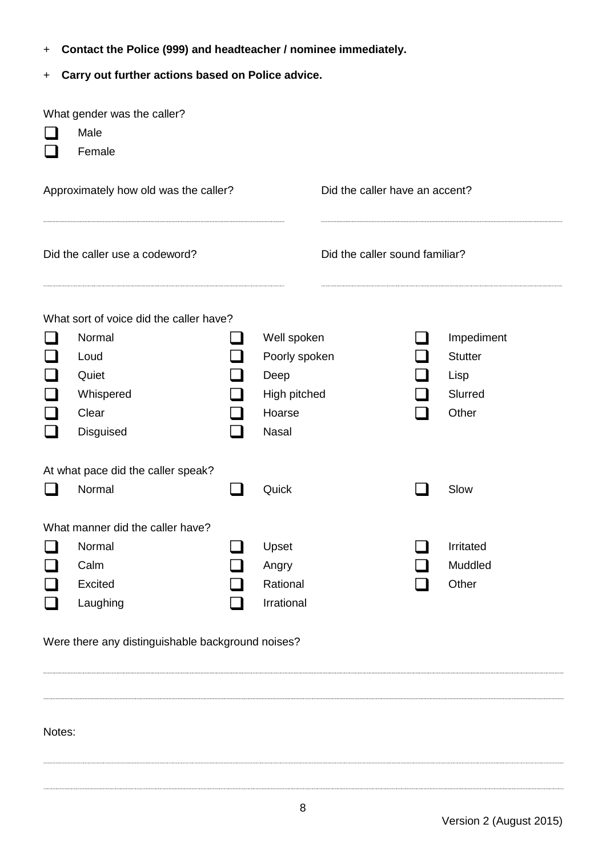- + **Contact the Police (999) and headteacher / nominee immediately.**
- + **Carry out further actions based on Police advice.**

| What gender was the caller?<br>Male<br>Female                    |  |               |                                |  |                |
|------------------------------------------------------------------|--|---------------|--------------------------------|--|----------------|
| Approximately how old was the caller?                            |  |               | Did the caller have an accent? |  |                |
| Did the caller sound familiar?<br>Did the caller use a codeword? |  |               |                                |  |                |
| What sort of voice did the caller have?                          |  |               |                                |  |                |
| Normal                                                           |  | Well spoken   |                                |  | Impediment     |
| Loud                                                             |  | Poorly spoken |                                |  | <b>Stutter</b> |
| Quiet                                                            |  | Deep          |                                |  | Lisp           |
| Whispered                                                        |  | High pitched  |                                |  | Slurred        |
| Clear                                                            |  | Hoarse        |                                |  | Other          |
| Disguised                                                        |  | <b>Nasal</b>  |                                |  |                |
| At what pace did the caller speak?                               |  |               |                                |  |                |
| Normal                                                           |  | Quick         |                                |  | Slow           |
| What manner did the caller have?                                 |  |               |                                |  |                |
| Normal                                                           |  | Upset         |                                |  | Irritated      |
| Calm                                                             |  | Angry         |                                |  | Muddled        |
| Excited                                                          |  | Rational      |                                |  | Other          |
| Laughing                                                         |  | Irrational    |                                |  |                |

Were there any distinguishable background noises?

Notes: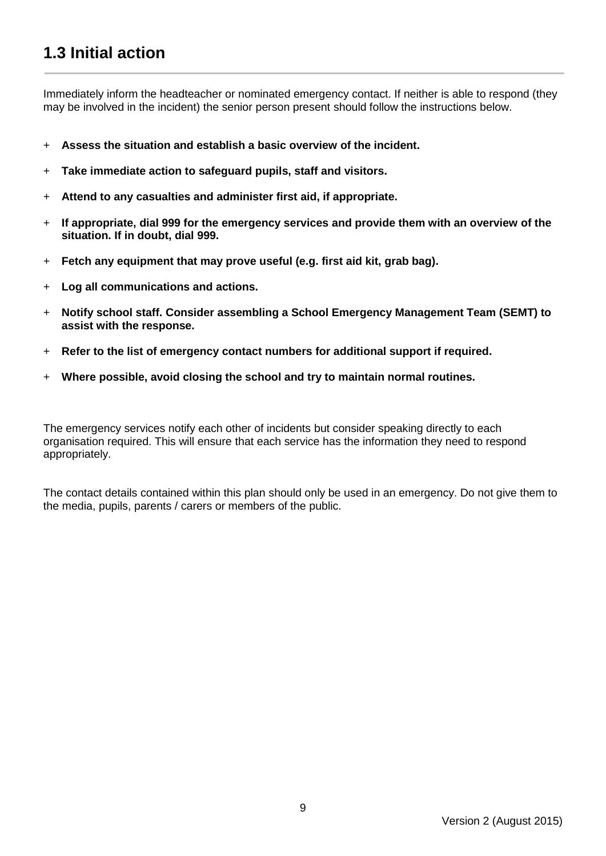### **1.3 Initial action**

Immediately inform the headteacher or nominated emergency contact. If neither is able to respond (they may be involved in the incident) the senior person present should follow the instructions below.

- + **Assess the situation and establish a basic overview of the incident.**
- + **Take immediate action to safeguard pupils, staff and visitors.**
- + **Attend to any casualties and administer first aid, if appropriate.**
- + **If appropriate, dial 999 for the emergency services and provide them with an overview of the situation. If in doubt, dial 999.**
- + **Fetch any equipment that may prove useful (e.g. first aid kit, grab bag).**
- + **Log all communications and actions.**
- + **Notify school staff. Consider assembling a School Emergency Management Team (SEMT) to assist with the response.**
- + **Refer to the list of emergency contact numbers for additional support if required.**
- + **Where possible, avoid closing the school and try to maintain normal routines.**

The emergency services notify each other of incidents but consider speaking directly to each organisation required. This will ensure that each service has the information they need to respond appropriately.

The contact details contained within this plan should only be used in an emergency. Do not give them to the media, pupils, parents / carers or members of the public.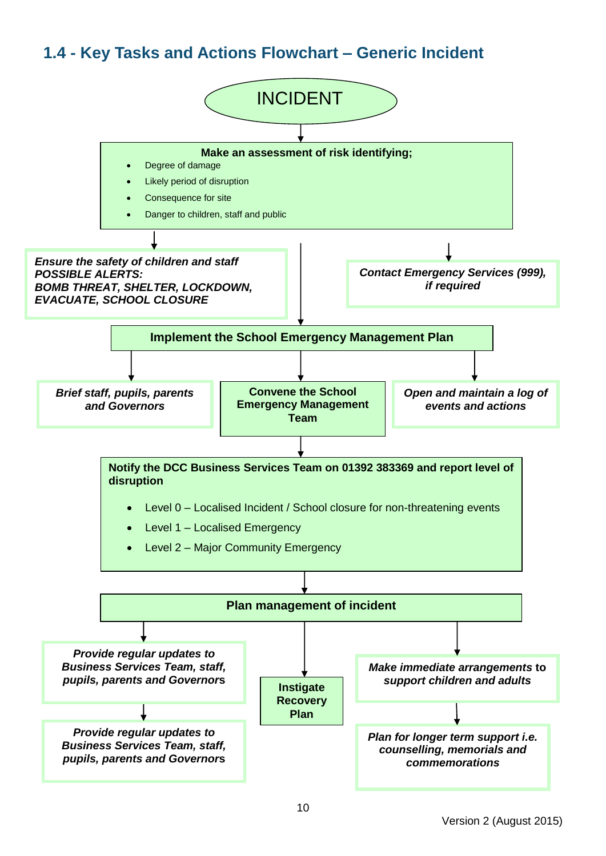#### **1.4 - Key Tasks and Actions Flowchart – Generic Incident**

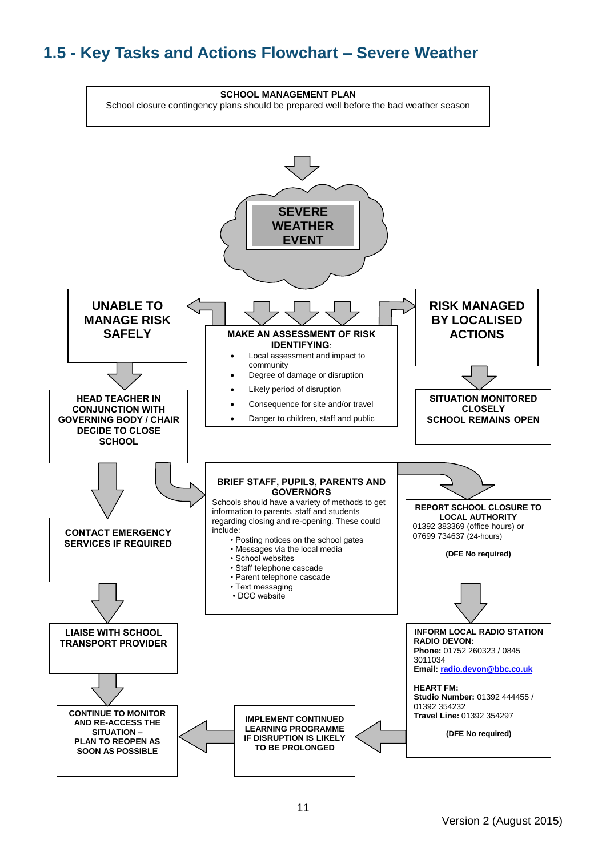#### **1.5 - Key Tasks and Actions Flowchart – Severe Weather**

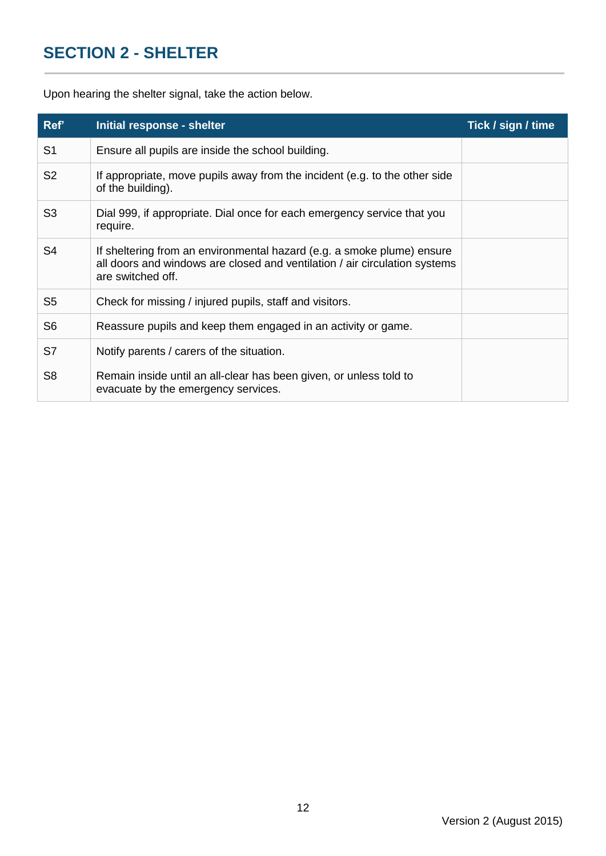## <span id="page-11-0"></span>**SECTION 2 - SHELTER**

Upon hearing the shelter signal, take the action below.

| Ref'           | Initial response - shelter                                                                                                                                                | Tick / sign / time |
|----------------|---------------------------------------------------------------------------------------------------------------------------------------------------------------------------|--------------------|
| S <sub>1</sub> | Ensure all pupils are inside the school building.                                                                                                                         |                    |
| S <sub>2</sub> | If appropriate, move pupils away from the incident (e.g. to the other side<br>of the building).                                                                           |                    |
| S <sub>3</sub> | Dial 999, if appropriate. Dial once for each emergency service that you<br>require.                                                                                       |                    |
| S <sub>4</sub> | If sheltering from an environmental hazard (e.g. a smoke plume) ensure<br>all doors and windows are closed and ventilation / air circulation systems<br>are switched off. |                    |
| S <sub>5</sub> | Check for missing / injured pupils, staff and visitors.                                                                                                                   |                    |
| S <sub>6</sub> | Reassure pupils and keep them engaged in an activity or game.                                                                                                             |                    |
| S7             | Notify parents / carers of the situation.                                                                                                                                 |                    |
| S <sub>8</sub> | Remain inside until an all-clear has been given, or unless told to<br>evacuate by the emergency services.                                                                 |                    |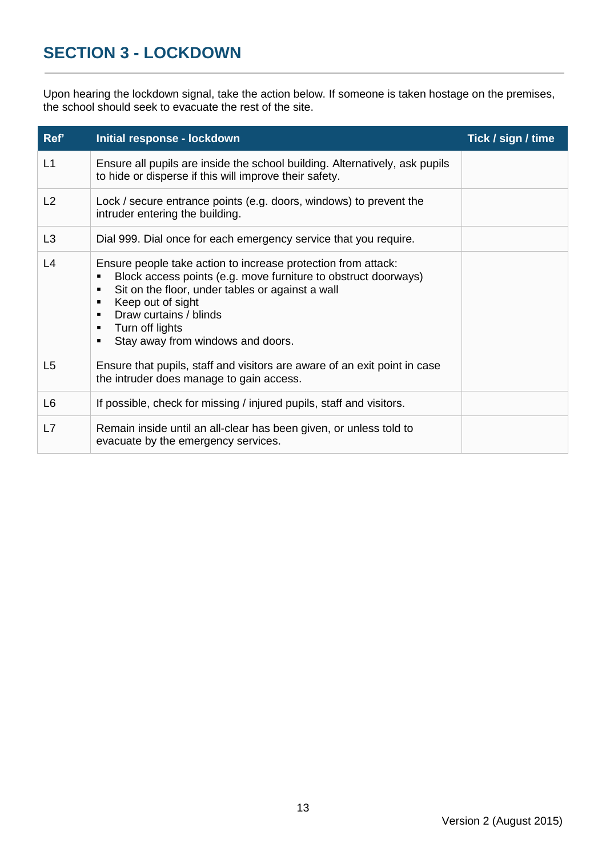## <span id="page-12-0"></span>**SECTION 3 - LOCKDOWN**

Upon hearing the lockdown signal, take the action below. If someone is taken hostage on the premises, the school should seek to evacuate the rest of the site.

| Ref'           | Initial response - lockdown                                                                                                                                                                                                                                                                                                                                     | Tick / sign / time |
|----------------|-----------------------------------------------------------------------------------------------------------------------------------------------------------------------------------------------------------------------------------------------------------------------------------------------------------------------------------------------------------------|--------------------|
| L1             | Ensure all pupils are inside the school building. Alternatively, ask pupils<br>to hide or disperse if this will improve their safety.                                                                                                                                                                                                                           |                    |
| L2             | Lock / secure entrance points (e.g. doors, windows) to prevent the<br>intruder entering the building.                                                                                                                                                                                                                                                           |                    |
| L <sub>3</sub> | Dial 999. Dial once for each emergency service that you require.                                                                                                                                                                                                                                                                                                |                    |
| L4             | Ensure people take action to increase protection from attack:<br>Block access points (e.g. move furniture to obstruct doorways)<br>п<br>Sit on the floor, under tables or against a wall<br>$\blacksquare$<br>Keep out of sight<br>п<br>Draw curtains / blinds<br>$\blacksquare$<br>Turn off lights<br>п<br>Stay away from windows and doors.<br>$\blacksquare$ |                    |
| L <sub>5</sub> | Ensure that pupils, staff and visitors are aware of an exit point in case<br>the intruder does manage to gain access.                                                                                                                                                                                                                                           |                    |
| L <sub>6</sub> | If possible, check for missing / injured pupils, staff and visitors.                                                                                                                                                                                                                                                                                            |                    |
| L7             | Remain inside until an all-clear has been given, or unless told to<br>evacuate by the emergency services.                                                                                                                                                                                                                                                       |                    |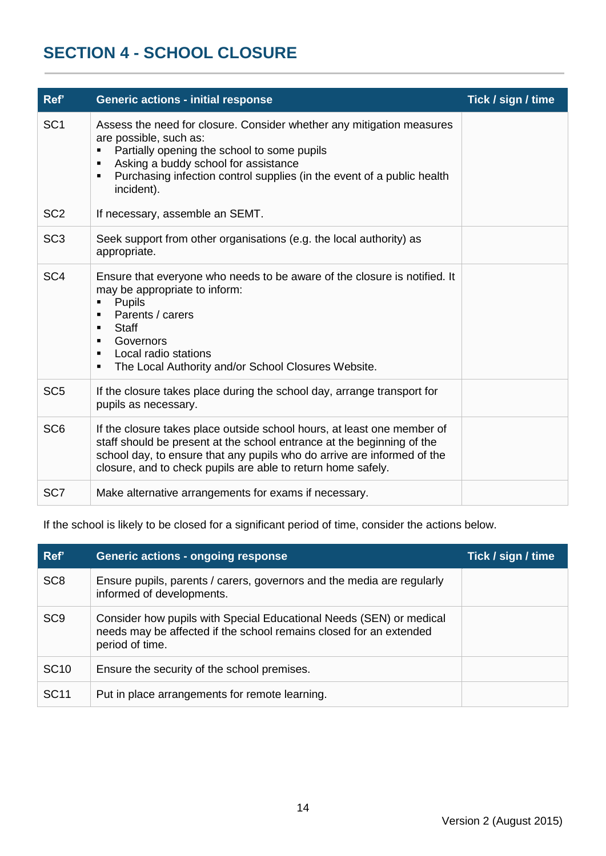#### <span id="page-13-0"></span>**SECTION 4 - SCHOOL CLOSURE**

| Ref'            | <b>Generic actions - initial response</b>                                                                                                                                                                                                                                                                                                                  | Tick / sign / time |
|-----------------|------------------------------------------------------------------------------------------------------------------------------------------------------------------------------------------------------------------------------------------------------------------------------------------------------------------------------------------------------------|--------------------|
| SC <sub>1</sub> | Assess the need for closure. Consider whether any mitigation measures<br>are possible, such as:<br>Partially opening the school to some pupils<br>$\blacksquare$<br>Asking a buddy school for assistance<br>$\blacksquare$<br>Purchasing infection control supplies (in the event of a public health<br>$\blacksquare$<br>incident).                       |                    |
| SC <sub>2</sub> | If necessary, assemble an SEMT.                                                                                                                                                                                                                                                                                                                            |                    |
| SC <sub>3</sub> | Seek support from other organisations (e.g. the local authority) as<br>appropriate.                                                                                                                                                                                                                                                                        |                    |
| SC <sub>4</sub> | Ensure that everyone who needs to be aware of the closure is notified. It<br>may be appropriate to inform:<br><b>Pupils</b><br>٠<br>Parents / carers<br>$\blacksquare$<br><b>Staff</b><br>$\blacksquare$<br>Governors<br>$\blacksquare$<br>Local radio stations<br>$\blacksquare$<br>The Local Authority and/or School Closures Website.<br>$\blacksquare$ |                    |
| SC <sub>5</sub> | If the closure takes place during the school day, arrange transport for<br>pupils as necessary.                                                                                                                                                                                                                                                            |                    |
| SC <sub>6</sub> | If the closure takes place outside school hours, at least one member of<br>staff should be present at the school entrance at the beginning of the<br>school day, to ensure that any pupils who do arrive are informed of the<br>closure, and to check pupils are able to return home safely.                                                               |                    |
| SC <sub>7</sub> | Make alternative arrangements for exams if necessary.                                                                                                                                                                                                                                                                                                      |                    |

If the school is likely to be closed for a significant period of time, consider the actions below.

| Ref'            | <b>Generic actions - ongoing response</b>                                                                                                                    | Tick / sign / time |
|-----------------|--------------------------------------------------------------------------------------------------------------------------------------------------------------|--------------------|
| SC <sub>8</sub> | Ensure pupils, parents / carers, governors and the media are regularly<br>informed of developments.                                                          |                    |
| SC <sub>9</sub> | Consider how pupils with Special Educational Needs (SEN) or medical<br>needs may be affected if the school remains closed for an extended<br>period of time. |                    |
| <b>SC10</b>     | Ensure the security of the school premises.                                                                                                                  |                    |
| <b>SC11</b>     | Put in place arrangements for remote learning.                                                                                                               |                    |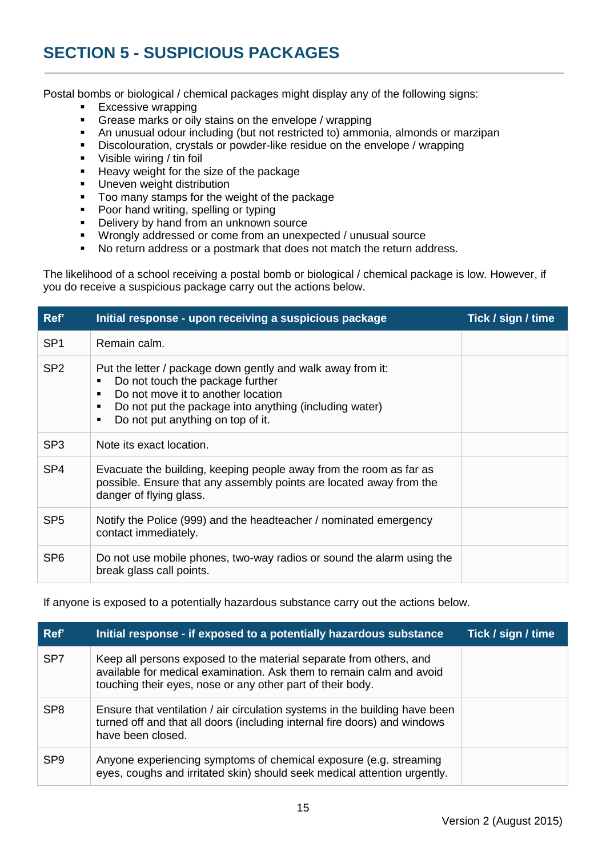## **SECTION 5 - SUSPICIOUS PACKAGES**

Postal bombs or biological / chemical packages might display any of the following signs:

- **Excessive wrapping**<br>**Excesse marks or oily**
- Grease marks or oily stains on the envelope / wrapping
- An unusual odour including (but not restricted to) ammonia, almonds or marzipan
- Discolouration, crystals or powder-like residue on the envelope / wrapping
- Visible wiring / tin foil
- Heavy weight for the size of the package
- **Uneven weight distribution**
- Too many stamps for the weight of the package
- Poor hand writing, spelling or typing
- Delivery by hand from an unknown source
- Wrongly addressed or come from an unexpected / unusual source
- No return address or a postmark that does not match the return address.

The likelihood of a school receiving a postal bomb or biological / chemical package is low. However, if you do receive a suspicious package carry out the actions below.

| Ref'            | Initial response - upon receiving a suspicious package                                                                                                                                                                                                                             | Tick / sign / time |
|-----------------|------------------------------------------------------------------------------------------------------------------------------------------------------------------------------------------------------------------------------------------------------------------------------------|--------------------|
| SP <sub>1</sub> | Remain calm.                                                                                                                                                                                                                                                                       |                    |
| SP <sub>2</sub> | Put the letter / package down gently and walk away from it:<br>Do not touch the package further<br>П<br>Do not move it to another location<br>$\blacksquare$<br>Do not put the package into anything (including water)<br>п<br>Do not put anything on top of it.<br>$\blacksquare$ |                    |
| SP <sub>3</sub> | Note its exact location.                                                                                                                                                                                                                                                           |                    |
| SP <sub>4</sub> | Evacuate the building, keeping people away from the room as far as<br>possible. Ensure that any assembly points are located away from the<br>danger of flying glass.                                                                                                               |                    |
| SP <sub>5</sub> | Notify the Police (999) and the headteacher / nominated emergency<br>contact immediately.                                                                                                                                                                                          |                    |
| SP <sub>6</sub> | Do not use mobile phones, two-way radios or sound the alarm using the<br>break glass call points.                                                                                                                                                                                  |                    |

If anyone is exposed to a potentially hazardous substance carry out the actions below.

| Ref'            | Initial response - if exposed to a potentially hazardous substance                                                                                                                                       | Tick / sign / time |
|-----------------|----------------------------------------------------------------------------------------------------------------------------------------------------------------------------------------------------------|--------------------|
| SP <sub>7</sub> | Keep all persons exposed to the material separate from others, and<br>available for medical examination. Ask them to remain calm and avoid<br>touching their eyes, nose or any other part of their body. |                    |
| SP <sub>8</sub> | Ensure that ventilation / air circulation systems in the building have been<br>turned off and that all doors (including internal fire doors) and windows<br>have been closed.                            |                    |
| SP <sub>9</sub> | Anyone experiencing symptoms of chemical exposure (e.g. streaming<br>eyes, coughs and irritated skin) should seek medical attention urgently.                                                            |                    |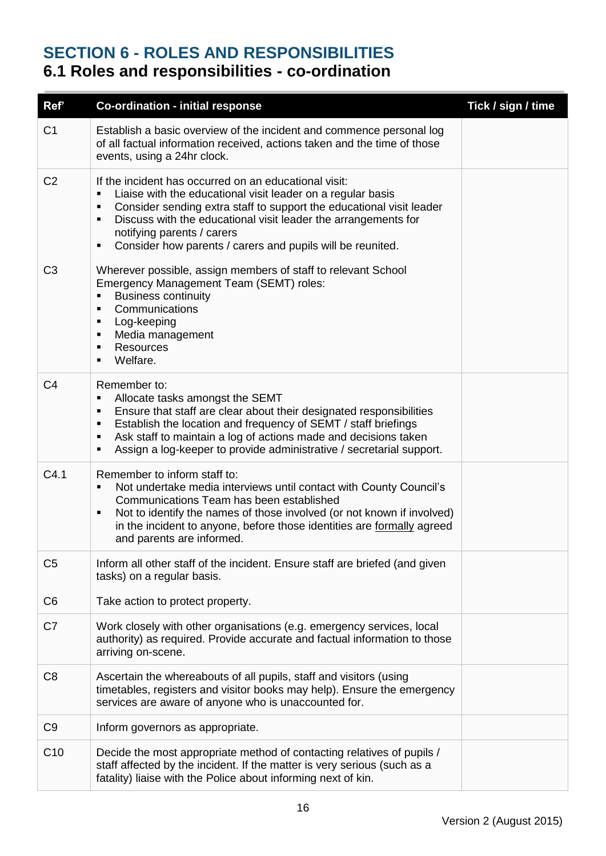#### <span id="page-15-0"></span>**SECTION 6 - ROLES AND RESPONSIBILITIES 6.1 Roles and responsibilities - co-ordination**

| Ref'           | <b>Co-ordination - initial response</b>                                                                                                                                                                                                                                                                                                                                                                  | Tick / sign / time |
|----------------|----------------------------------------------------------------------------------------------------------------------------------------------------------------------------------------------------------------------------------------------------------------------------------------------------------------------------------------------------------------------------------------------------------|--------------------|
| C <sub>1</sub> | Establish a basic overview of the incident and commence personal log<br>of all factual information received, actions taken and the time of those<br>events, using a 24hr clock.                                                                                                                                                                                                                          |                    |
| C <sub>2</sub> | If the incident has occurred on an educational visit:<br>Liaise with the educational visit leader on a regular basis<br>П<br>Consider sending extra staff to support the educational visit leader<br>٠<br>Discuss with the educational visit leader the arrangements for<br>$\blacksquare$<br>notifying parents / carers<br>Consider how parents / carers and pupils will be reunited.<br>$\blacksquare$ |                    |
| C <sub>3</sub> | Wherever possible, assign members of staff to relevant School<br>Emergency Management Team (SEMT) roles:<br><b>Business continuity</b><br>Communications<br>$\blacksquare$<br>Log-keeping<br>٠<br>Media management<br>٠<br><b>Resources</b><br>$\blacksquare$<br>Welfare.<br>$\blacksquare$                                                                                                              |                    |
| C <sub>4</sub> | Remember to:<br>Allocate tasks amongst the SEMT<br>$\blacksquare$<br>Ensure that staff are clear about their designated responsibilities<br>$\blacksquare$<br>Establish the location and frequency of SEMT / staff briefings<br>٠<br>Ask staff to maintain a log of actions made and decisions taken<br>٠<br>Assign a log-keeper to provide administrative / secretarial support.<br>٠                   |                    |
| C4.1           | Remember to inform staff to:<br>Not undertake media interviews until contact with County Council's<br>٠<br>Communications Team has been established<br>Not to identify the names of those involved (or not known if involved)<br>$\blacksquare$<br>in the incident to anyone, before those identities are formally agreed<br>and parents are informed.                                                   |                    |
| C <sub>5</sub> | Inform all other staff of the incident. Ensure staff are briefed (and given<br>tasks) on a regular basis.                                                                                                                                                                                                                                                                                                |                    |
| C <sub>6</sub> | Take action to protect property.                                                                                                                                                                                                                                                                                                                                                                         |                    |
| C7             | Work closely with other organisations (e.g. emergency services, local<br>authority) as required. Provide accurate and factual information to those<br>arriving on-scene.                                                                                                                                                                                                                                 |                    |
| C <sub>8</sub> | Ascertain the whereabouts of all pupils, staff and visitors (using<br>timetables, registers and visitor books may help). Ensure the emergency<br>services are aware of anyone who is unaccounted for.                                                                                                                                                                                                    |                    |
| C <sub>9</sub> | Inform governors as appropriate.                                                                                                                                                                                                                                                                                                                                                                         |                    |
| C10            | Decide the most appropriate method of contacting relatives of pupils /<br>staff affected by the incident. If the matter is very serious (such as a<br>fatality) liaise with the Police about informing next of kin.                                                                                                                                                                                      |                    |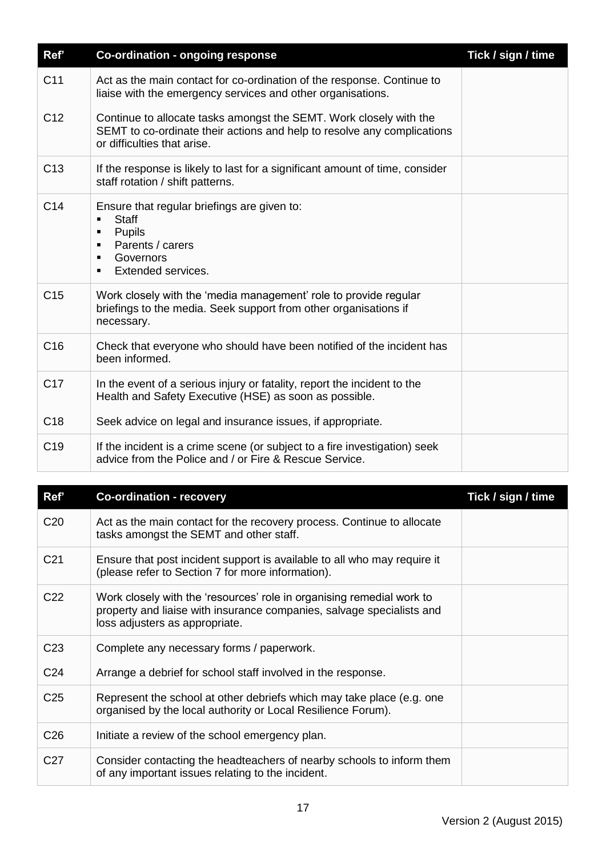| Ref'            | <b>Co-ordination - ongoing response</b>                                                                                                                                                                   | Tick / sign / time |
|-----------------|-----------------------------------------------------------------------------------------------------------------------------------------------------------------------------------------------------------|--------------------|
| C <sub>11</sub> | Act as the main contact for co-ordination of the response. Continue to<br>liaise with the emergency services and other organisations.                                                                     |                    |
| C <sub>12</sub> | Continue to allocate tasks amongst the SEMT. Work closely with the<br>SEMT to co-ordinate their actions and help to resolve any complications<br>or difficulties that arise.                              |                    |
| C <sub>13</sub> | If the response is likely to last for a significant amount of time, consider<br>staff rotation / shift patterns.                                                                                          |                    |
| C <sub>14</sub> | Ensure that regular briefings are given to:<br><b>Staff</b><br>$\blacksquare$<br>Pupils<br>$\blacksquare$<br>Parents / carers<br>п<br>Governors<br>$\blacksquare$<br>Extended services.<br>$\blacksquare$ |                    |
| C <sub>15</sub> | Work closely with the 'media management' role to provide regular<br>briefings to the media. Seek support from other organisations if<br>necessary.                                                        |                    |
| C <sub>16</sub> | Check that everyone who should have been notified of the incident has<br>been informed.                                                                                                                   |                    |
| C <sub>17</sub> | In the event of a serious injury or fatality, report the incident to the<br>Health and Safety Executive (HSE) as soon as possible.                                                                        |                    |
| C <sub>18</sub> | Seek advice on legal and insurance issues, if appropriate.                                                                                                                                                |                    |
| C <sub>19</sub> | If the incident is a crime scene (or subject to a fire investigation) seek<br>advice from the Police and / or Fire & Rescue Service.                                                                      |                    |

| Ref'            | <b>Co-ordination - recovery</b>                                                                                                                                                  | Tick / sign / time |
|-----------------|----------------------------------------------------------------------------------------------------------------------------------------------------------------------------------|--------------------|
| C <sub>20</sub> | Act as the main contact for the recovery process. Continue to allocate<br>tasks amongst the SEMT and other staff.                                                                |                    |
| C <sub>21</sub> | Ensure that post incident support is available to all who may require it<br>(please refer to Section 7 for more information).                                                    |                    |
| C <sub>22</sub> | Work closely with the 'resources' role in organising remedial work to<br>property and liaise with insurance companies, salvage specialists and<br>loss adjusters as appropriate. |                    |
| C <sub>23</sub> | Complete any necessary forms / paperwork.                                                                                                                                        |                    |
| C <sub>24</sub> | Arrange a debrief for school staff involved in the response.                                                                                                                     |                    |
| C <sub>25</sub> | Represent the school at other debriefs which may take place (e.g. one<br>organised by the local authority or Local Resilience Forum).                                            |                    |
| C <sub>26</sub> | Initiate a review of the school emergency plan.                                                                                                                                  |                    |
| C <sub>27</sub> | Consider contacting the headteachers of nearby schools to inform them<br>of any important issues relating to the incident.                                                       |                    |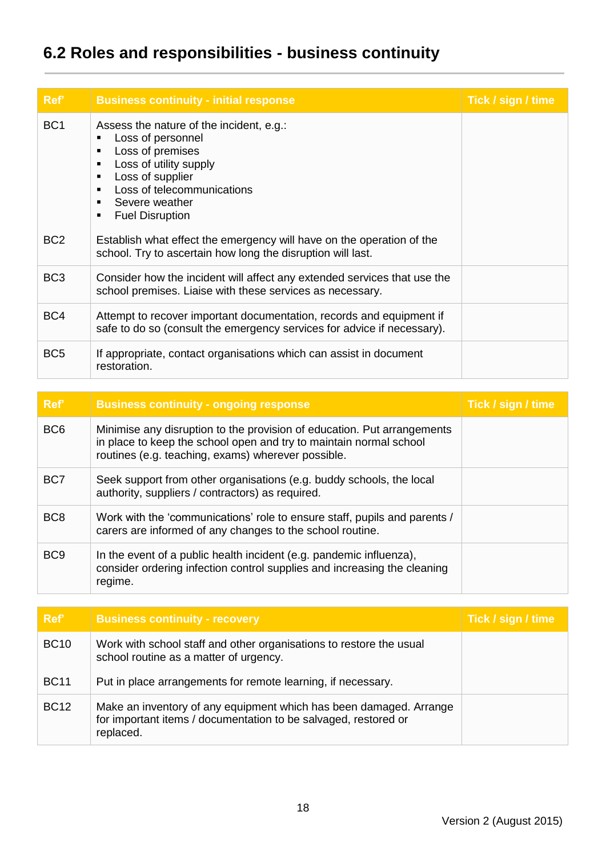# **6.2 Roles and responsibilities - business continuity**

| Ref'            | <b>Business continuity - initial response</b>                                                                                                                                                                                                                                                                                           | Tick / sign / time |
|-----------------|-----------------------------------------------------------------------------------------------------------------------------------------------------------------------------------------------------------------------------------------------------------------------------------------------------------------------------------------|--------------------|
| BC <sub>1</sub> | Assess the nature of the incident, e.g.:<br>Loss of personnel<br>$\blacksquare$<br>Loss of premises<br>$\blacksquare$<br>Loss of utility supply<br>$\blacksquare$<br>Loss of supplier<br>$\blacksquare$<br>Loss of telecommunications<br>$\blacksquare$<br>Severe weather<br>$\blacksquare$<br><b>Fuel Disruption</b><br>$\blacksquare$ |                    |
| BC <sub>2</sub> | Establish what effect the emergency will have on the operation of the<br>school. Try to ascertain how long the disruption will last.                                                                                                                                                                                                    |                    |
| BC <sub>3</sub> | Consider how the incident will affect any extended services that use the<br>school premises. Liaise with these services as necessary.                                                                                                                                                                                                   |                    |
| BC4             | Attempt to recover important documentation, records and equipment if<br>safe to do so (consult the emergency services for advice if necessary).                                                                                                                                                                                         |                    |
| BC <sub>5</sub> | If appropriate, contact organisations which can assist in document<br>restoration.                                                                                                                                                                                                                                                      |                    |

| Ref'            | <b>Business continuity - ongoing response</b>                                                                                                                                                       | Tick / sign / time |
|-----------------|-----------------------------------------------------------------------------------------------------------------------------------------------------------------------------------------------------|--------------------|
| BC <sub>6</sub> | Minimise any disruption to the provision of education. Put arrangements<br>in place to keep the school open and try to maintain normal school<br>routines (e.g. teaching, exams) wherever possible. |                    |
| BC7             | Seek support from other organisations (e.g. buddy schools, the local<br>authority, suppliers / contractors) as required.                                                                            |                    |
| BC <sub>8</sub> | Work with the 'communications' role to ensure staff, pupils and parents /<br>carers are informed of any changes to the school routine.                                                              |                    |
| BC <sub>9</sub> | In the event of a public health incident (e.g. pandemic influenza),<br>consider ordering infection control supplies and increasing the cleaning<br>regime.                                          |                    |

| Ref'        | <b>Business continuity - recovery</b>                                                                                                              | Tick / sign / time |
|-------------|----------------------------------------------------------------------------------------------------------------------------------------------------|--------------------|
| <b>BC10</b> | Work with school staff and other organisations to restore the usual<br>school routine as a matter of urgency.                                      |                    |
| <b>BC11</b> | Put in place arrangements for remote learning, if necessary.                                                                                       |                    |
| <b>BC12</b> | Make an inventory of any equipment which has been damaged. Arrange<br>for important items / documentation to be salvaged, restored or<br>replaced. |                    |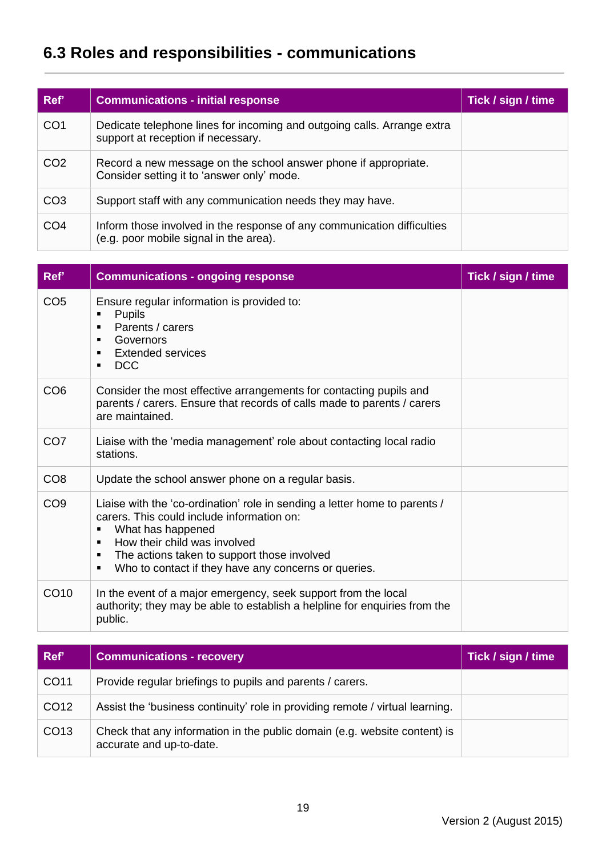# **6.3 Roles and responsibilities - communications**

| Ref'            | <b>Communications - initial response</b>                                                                          | Tick / sign / time |
|-----------------|-------------------------------------------------------------------------------------------------------------------|--------------------|
| CO <sub>1</sub> | Dedicate telephone lines for incoming and outgoing calls. Arrange extra<br>support at reception if necessary.     |                    |
| CO <sub>2</sub> | Record a new message on the school answer phone if appropriate.<br>Consider setting it to 'answer only' mode.     |                    |
| CO <sub>3</sub> | Support staff with any communication needs they may have.                                                         |                    |
| CO <sub>4</sub> | Inform those involved in the response of any communication difficulties<br>(e.g. poor mobile signal in the area). |                    |

| Ref'             | <b>Communications - ongoing response</b>                                                                                                                                                                                                                                                                                                        | Tick / sign / time |
|------------------|-------------------------------------------------------------------------------------------------------------------------------------------------------------------------------------------------------------------------------------------------------------------------------------------------------------------------------------------------|--------------------|
| CO <sub>5</sub>  | Ensure regular information is provided to:<br><b>Pupils</b><br>п<br>Parents / carers<br>$\blacksquare$<br>Governors<br>$\blacksquare$<br><b>Extended services</b><br>п<br><b>DCC</b><br>$\blacksquare$                                                                                                                                          |                    |
| CO <sub>6</sub>  | Consider the most effective arrangements for contacting pupils and<br>parents / carers. Ensure that records of calls made to parents / carers<br>are maintained.                                                                                                                                                                                |                    |
| CO <sub>7</sub>  | Liaise with the 'media management' role about contacting local radio<br>stations.                                                                                                                                                                                                                                                               |                    |
| CO <sub>8</sub>  | Update the school answer phone on a regular basis.                                                                                                                                                                                                                                                                                              |                    |
| CO <sub>9</sub>  | Liaise with the 'co-ordination' role in sending a letter home to parents /<br>carers. This could include information on:<br>What has happened<br>П<br>How their child was involved<br>$\blacksquare$<br>The actions taken to support those involved<br>$\blacksquare$<br>Who to contact if they have any concerns or queries.<br>$\blacksquare$ |                    |
| CO <sub>10</sub> | In the event of a major emergency, seek support from the local<br>authority; they may be able to establish a helpline for enquiries from the<br>public.                                                                                                                                                                                         |                    |

| Ref'             | <b>Communications - recovery</b>                                                                      | Tick / sign / time |
|------------------|-------------------------------------------------------------------------------------------------------|--------------------|
| CO11             | Provide regular briefings to pupils and parents / carers.                                             |                    |
| CO <sub>12</sub> | Assist the 'business continuity' role in providing remote / virtual learning.                         |                    |
| CO <sub>13</sub> | Check that any information in the public domain (e.g. website content) is<br>accurate and up-to-date. |                    |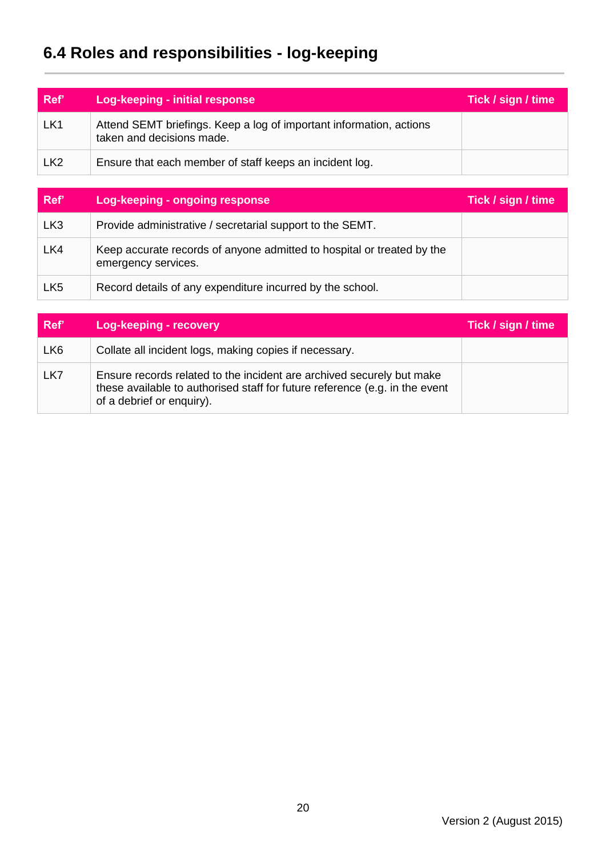# **6.4 Roles and responsibilities - log-keeping**

| Ref'            | <b>Log-keeping - initial response</b>                                                            | Tick / sign / time |
|-----------------|--------------------------------------------------------------------------------------------------|--------------------|
| LK <sub>1</sub> | Attend SEMT briefings. Keep a log of important information, actions<br>taken and decisions made. |                    |
| LK <sub>2</sub> | Ensure that each member of staff keeps an incident log.                                          |                    |

| Ref'            | Log-keeping - ongoing response                                                                | Tick / sign / time |
|-----------------|-----------------------------------------------------------------------------------------------|--------------------|
| LK <sub>3</sub> | Provide administrative / secretarial support to the SEMT.                                     |                    |
| LK4             | Keep accurate records of anyone admitted to hospital or treated by the<br>emergency services. |                    |
| LK <sub>5</sub> | Record details of any expenditure incurred by the school.                                     |                    |

| Ref'            | Log-keeping - recovery                                                                                                                                                            | Tick / sign / time |
|-----------------|-----------------------------------------------------------------------------------------------------------------------------------------------------------------------------------|--------------------|
| LK <sub>6</sub> | Collate all incident logs, making copies if necessary.                                                                                                                            |                    |
| LK7             | Ensure records related to the incident are archived securely but make<br>these available to authorised staff for future reference (e.g. in the event<br>of a debrief or enquiry). |                    |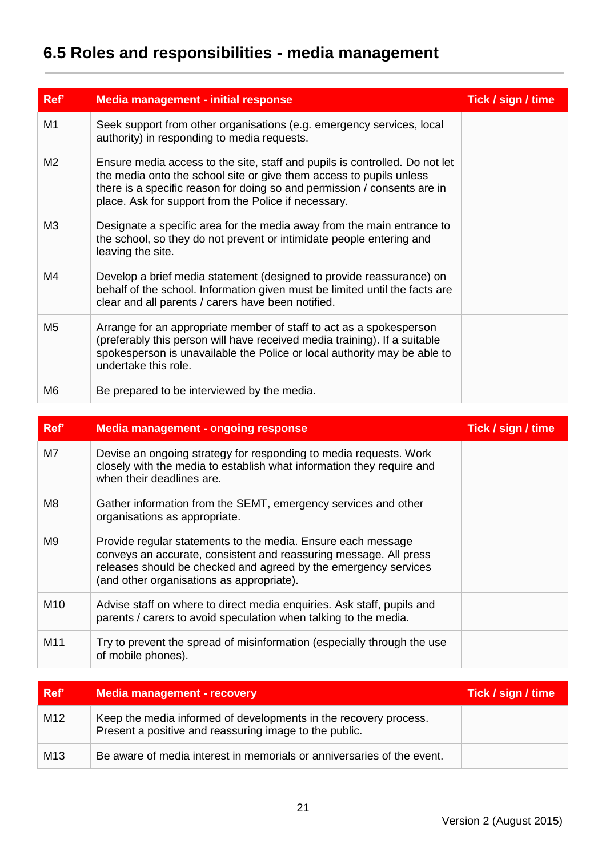# **6.5 Roles and responsibilities - media management**

| Ref'           | <b>Media management - initial response</b>                                                                                                                                                                                                                                             | Tick / sign / time |
|----------------|----------------------------------------------------------------------------------------------------------------------------------------------------------------------------------------------------------------------------------------------------------------------------------------|--------------------|
| M <sub>1</sub> | Seek support from other organisations (e.g. emergency services, local<br>authority) in responding to media requests.                                                                                                                                                                   |                    |
| M <sub>2</sub> | Ensure media access to the site, staff and pupils is controlled. Do not let<br>the media onto the school site or give them access to pupils unless<br>there is a specific reason for doing so and permission / consents are in<br>place. Ask for support from the Police if necessary. |                    |
| M <sub>3</sub> | Designate a specific area for the media away from the main entrance to<br>the school, so they do not prevent or intimidate people entering and<br>leaving the site.                                                                                                                    |                    |
| M4             | Develop a brief media statement (designed to provide reassurance) on<br>behalf of the school. Information given must be limited until the facts are<br>clear and all parents / carers have been notified.                                                                              |                    |
| M <sub>5</sub> | Arrange for an appropriate member of staff to act as a spokesperson<br>(preferably this person will have received media training). If a suitable<br>spokesperson is unavailable the Police or local authority may be able to<br>undertake this role.                                   |                    |
| M6             | Be prepared to be interviewed by the media.                                                                                                                                                                                                                                            |                    |

| Ref'            | <b>Media management - ongoing response</b>                                                                                                                                                                                                        | Tick / sign / time |
|-----------------|---------------------------------------------------------------------------------------------------------------------------------------------------------------------------------------------------------------------------------------------------|--------------------|
| M7              | Devise an ongoing strategy for responding to media requests. Work<br>closely with the media to establish what information they require and<br>when their deadlines are.                                                                           |                    |
| M8              | Gather information from the SEMT, emergency services and other<br>organisations as appropriate.                                                                                                                                                   |                    |
| M <sub>9</sub>  | Provide regular statements to the media. Ensure each message<br>conveys an accurate, consistent and reassuring message. All press<br>releases should be checked and agreed by the emergency services<br>(and other organisations as appropriate). |                    |
| M <sub>10</sub> | Advise staff on where to direct media enquiries. Ask staff, pupils and<br>parents / carers to avoid speculation when talking to the media.                                                                                                        |                    |
| M11             | Try to prevent the spread of misinformation (especially through the use<br>of mobile phones).                                                                                                                                                     |                    |

| ∣ Ref'          | <b>Media management - recovery</b>                                                                                         | Tick / sign / time |
|-----------------|----------------------------------------------------------------------------------------------------------------------------|--------------------|
| M12             | Keep the media informed of developments in the recovery process.<br>Present a positive and reassuring image to the public. |                    |
| M <sub>13</sub> | Be aware of media interest in memorials or anniversaries of the event.                                                     |                    |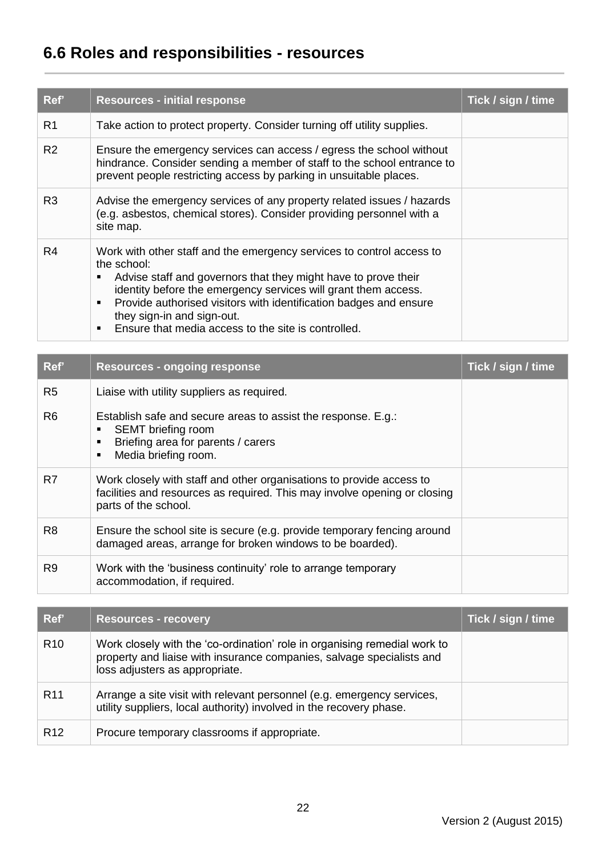## **6.6 Roles and responsibilities - resources**

| Ref'           | <b>Resources - initial response</b>                                                                                                                                                                                                                                                                                                                                                                                                      | Tick / sign / time |
|----------------|------------------------------------------------------------------------------------------------------------------------------------------------------------------------------------------------------------------------------------------------------------------------------------------------------------------------------------------------------------------------------------------------------------------------------------------|--------------------|
| R1             | Take action to protect property. Consider turning off utility supplies.                                                                                                                                                                                                                                                                                                                                                                  |                    |
| R <sub>2</sub> | Ensure the emergency services can access / egress the school without<br>hindrance. Consider sending a member of staff to the school entrance to<br>prevent people restricting access by parking in unsuitable places.                                                                                                                                                                                                                    |                    |
| R <sub>3</sub> | Advise the emergency services of any property related issues / hazards<br>(e.g. asbestos, chemical stores). Consider providing personnel with a<br>site map.                                                                                                                                                                                                                                                                             |                    |
| R4             | Work with other staff and the emergency services to control access to<br>the school:<br>Advise staff and governors that they might have to prove their<br>$\blacksquare$<br>identity before the emergency services will grant them access.<br>Provide authorised visitors with identification badges and ensure<br>$\blacksquare$<br>they sign-in and sign-out.<br>Ensure that media access to the site is controlled.<br>$\blacksquare$ |                    |

| Ref'           | <b>Resources - ongoing response</b>                                                                                                                                                        | Tick / sign / time |
|----------------|--------------------------------------------------------------------------------------------------------------------------------------------------------------------------------------------|--------------------|
| R <sub>5</sub> | Liaise with utility suppliers as required.                                                                                                                                                 |                    |
| R <sub>6</sub> | Establish safe and secure areas to assist the response. E.g.:<br>SEMT briefing room<br>٠<br>Briefing area for parents / carers<br>$\blacksquare$<br>Media briefing room.<br>$\blacksquare$ |                    |
| R7             | Work closely with staff and other organisations to provide access to<br>facilities and resources as required. This may involve opening or closing<br>parts of the school.                  |                    |
| R <sub>8</sub> | Ensure the school site is secure (e.g. provide temporary fencing around<br>damaged areas, arrange for broken windows to be boarded).                                                       |                    |
| R <sub>9</sub> | Work with the 'business continuity' role to arrange temporary<br>accommodation, if required.                                                                                               |                    |

| Ref'            | <b>Resources - recovery</b>                                                                                                                                                          | Tick / sign / time |
|-----------------|--------------------------------------------------------------------------------------------------------------------------------------------------------------------------------------|--------------------|
| R <sub>10</sub> | Work closely with the 'co-ordination' role in organising remedial work to<br>property and liaise with insurance companies, salvage specialists and<br>loss adjusters as appropriate. |                    |
| R <sub>11</sub> | Arrange a site visit with relevant personnel (e.g. emergency services,<br>utility suppliers, local authority) involved in the recovery phase.                                        |                    |
| R <sub>12</sub> | Procure temporary classrooms if appropriate.                                                                                                                                         |                    |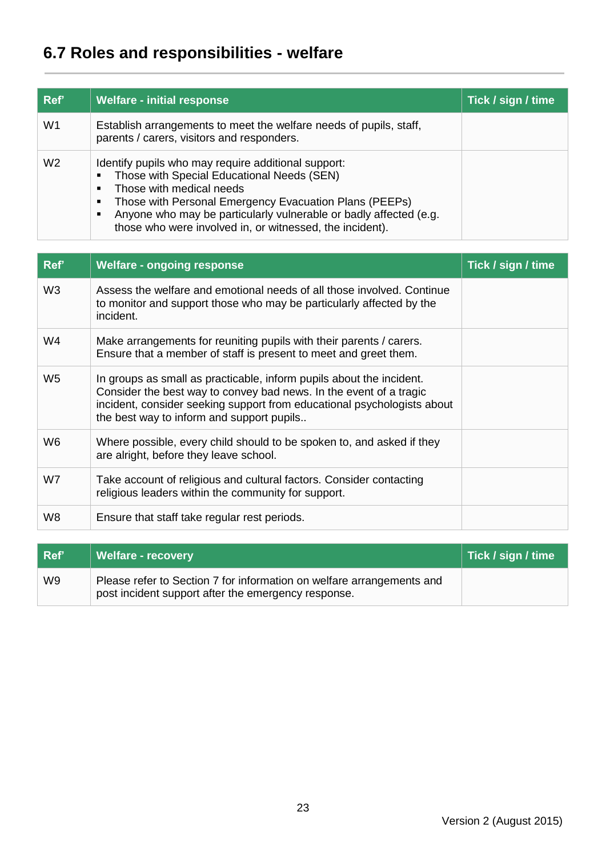# **6.7 Roles and responsibilities - welfare**

| Ref'           | <b>Welfare - initial response</b>                                                                                                                                                                                                                                                                                                                                                                | Tick / sign / time |
|----------------|--------------------------------------------------------------------------------------------------------------------------------------------------------------------------------------------------------------------------------------------------------------------------------------------------------------------------------------------------------------------------------------------------|--------------------|
| W1             | Establish arrangements to meet the welfare needs of pupils, staff,<br>parents / carers, visitors and responders.                                                                                                                                                                                                                                                                                 |                    |
| W <sub>2</sub> | Identify pupils who may require additional support:<br>Those with Special Educational Needs (SEN)<br>$\blacksquare$<br>Those with medical needs<br>$\blacksquare$<br>Those with Personal Emergency Evacuation Plans (PEEPs)<br>$\blacksquare$<br>Anyone who may be particularly vulnerable or badly affected (e.g.<br>$\blacksquare$<br>those who were involved in, or witnessed, the incident). |                    |

| ∣ Ref'         | Welfare - recovery                                                                                                           | Tick / sign / time |
|----------------|------------------------------------------------------------------------------------------------------------------------------|--------------------|
| W <sub>9</sub> | Please refer to Section 7 for information on welfare arrangements and<br>post incident support after the emergency response. |                    |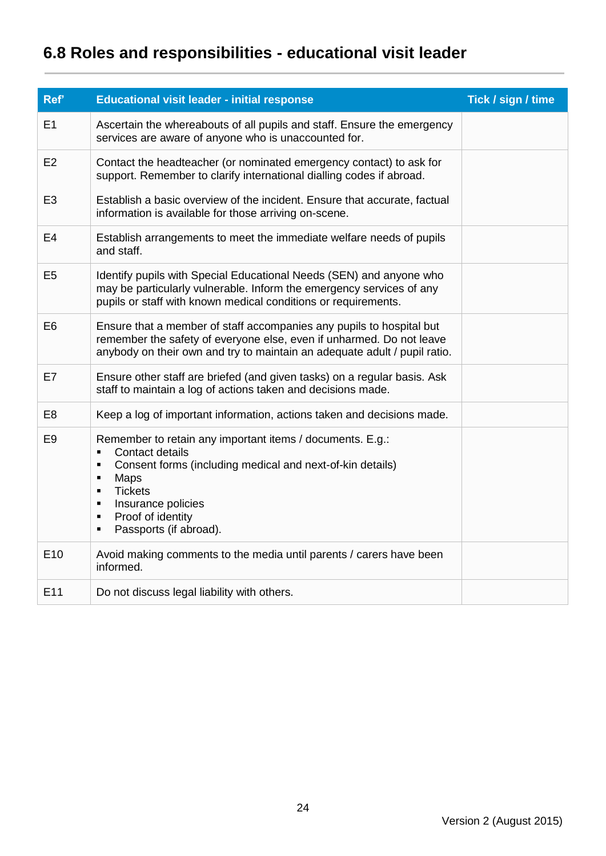# **6.8 Roles and responsibilities - educational visit leader**

| Ref'            | <b>Educational visit leader - initial response</b>                                                                                                                                                                                                                                                                              | Tick / sign / time |
|-----------------|---------------------------------------------------------------------------------------------------------------------------------------------------------------------------------------------------------------------------------------------------------------------------------------------------------------------------------|--------------------|
| E1              | Ascertain the whereabouts of all pupils and staff. Ensure the emergency<br>services are aware of anyone who is unaccounted for.                                                                                                                                                                                                 |                    |
| E <sub>2</sub>  | Contact the headteacher (or nominated emergency contact) to ask for<br>support. Remember to clarify international dialling codes if abroad.                                                                                                                                                                                     |                    |
| E <sub>3</sub>  | Establish a basic overview of the incident. Ensure that accurate, factual<br>information is available for those arriving on-scene.                                                                                                                                                                                              |                    |
| E <sub>4</sub>  | Establish arrangements to meet the immediate welfare needs of pupils<br>and staff.                                                                                                                                                                                                                                              |                    |
| E <sub>5</sub>  | Identify pupils with Special Educational Needs (SEN) and anyone who<br>may be particularly vulnerable. Inform the emergency services of any<br>pupils or staff with known medical conditions or requirements.                                                                                                                   |                    |
| E <sub>6</sub>  | Ensure that a member of staff accompanies any pupils to hospital but<br>remember the safety of everyone else, even if unharmed. Do not leave<br>anybody on their own and try to maintain an adequate adult / pupil ratio.                                                                                                       |                    |
| E7              | Ensure other staff are briefed (and given tasks) on a regular basis. Ask<br>staff to maintain a log of actions taken and decisions made.                                                                                                                                                                                        |                    |
| E <sub>8</sub>  | Keep a log of important information, actions taken and decisions made.                                                                                                                                                                                                                                                          |                    |
| E <sub>9</sub>  | Remember to retain any important items / documents. E.g.:<br>Contact details<br>$\blacksquare$<br>Consent forms (including medical and next-of-kin details)<br>$\blacksquare$<br>Maps<br>٠<br><b>Tickets</b><br>$\blacksquare$<br>Insurance policies<br>٠<br>Proof of identity<br>٠<br>Passports (if abroad).<br>$\blacksquare$ |                    |
| E <sub>10</sub> | Avoid making comments to the media until parents / carers have been<br>informed.                                                                                                                                                                                                                                                |                    |
| E11             | Do not discuss legal liability with others.                                                                                                                                                                                                                                                                                     |                    |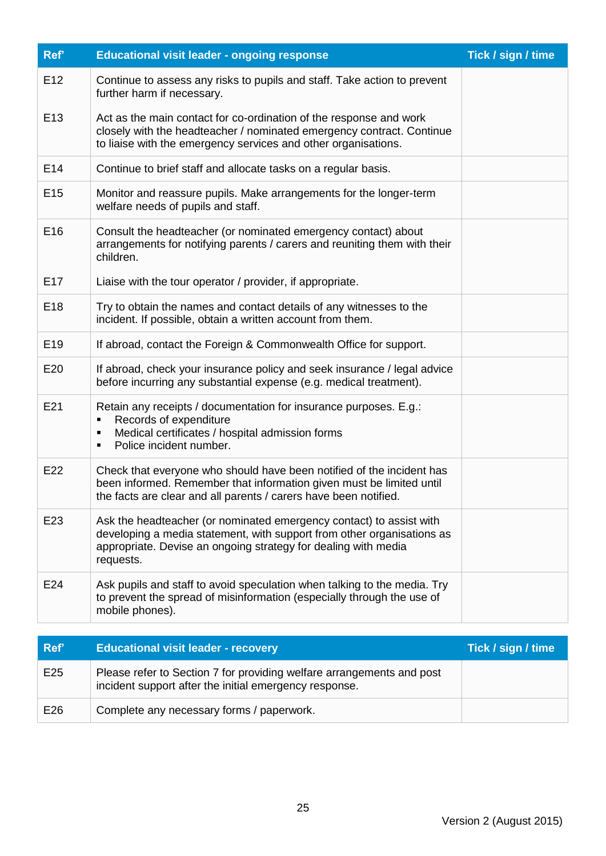| Ref'            | <b>Educational visit leader - ongoing response</b>                                                                                                                                                                           | Tick / sign / time |
|-----------------|------------------------------------------------------------------------------------------------------------------------------------------------------------------------------------------------------------------------------|--------------------|
| E <sub>12</sub> | Continue to assess any risks to pupils and staff. Take action to prevent<br>further harm if necessary.                                                                                                                       |                    |
| E <sub>13</sub> | Act as the main contact for co-ordination of the response and work<br>closely with the headteacher / nominated emergency contract. Continue<br>to liaise with the emergency services and other organisations.                |                    |
| E <sub>14</sub> | Continue to brief staff and allocate tasks on a regular basis.                                                                                                                                                               |                    |
| E <sub>15</sub> | Monitor and reassure pupils. Make arrangements for the longer-term<br>welfare needs of pupils and staff.                                                                                                                     |                    |
| E <sub>16</sub> | Consult the headteacher (or nominated emergency contact) about<br>arrangements for notifying parents / carers and reuniting them with their<br>children.                                                                     |                    |
| E <sub>17</sub> | Liaise with the tour operator / provider, if appropriate.                                                                                                                                                                    |                    |
| E18             | Try to obtain the names and contact details of any witnesses to the<br>incident. If possible, obtain a written account from them.                                                                                            |                    |
| E <sub>19</sub> | If abroad, contact the Foreign & Commonwealth Office for support.                                                                                                                                                            |                    |
| E20             | If abroad, check your insurance policy and seek insurance / legal advice<br>before incurring any substantial expense (e.g. medical treatment).                                                                               |                    |
| E21             | Retain any receipts / documentation for insurance purposes. E.g.:<br>Records of expenditure<br>Medical certificates / hospital admission forms<br>п<br>Police incident number.<br>Ξ                                          |                    |
| E22             | Check that everyone who should have been notified of the incident has<br>been informed. Remember that information given must be limited until<br>the facts are clear and all parents / carers have been notified.            |                    |
| E23             | Ask the headteacher (or nominated emergency contact) to assist with<br>developing a media statement, with support from other organisations as<br>appropriate. Devise an ongoing strategy for dealing with media<br>requests. |                    |
| E24             | Ask pupils and staff to avoid speculation when talking to the media. Try<br>to prevent the spread of misinformation (especially through the use of<br>mobile phones).                                                        |                    |
| Ref'            |                                                                                                                                                                                                                              | Tick / sign / time |
|                 | <b>Educational visit leader - recovery</b>                                                                                                                                                                                   |                    |
| E25             | Please refer to Section 7 for providing welfare arrangements and post<br>incident support after the initial emergency response.                                                                                              |                    |
| E26             | Complete any necessary forms / paperwork.                                                                                                                                                                                    |                    |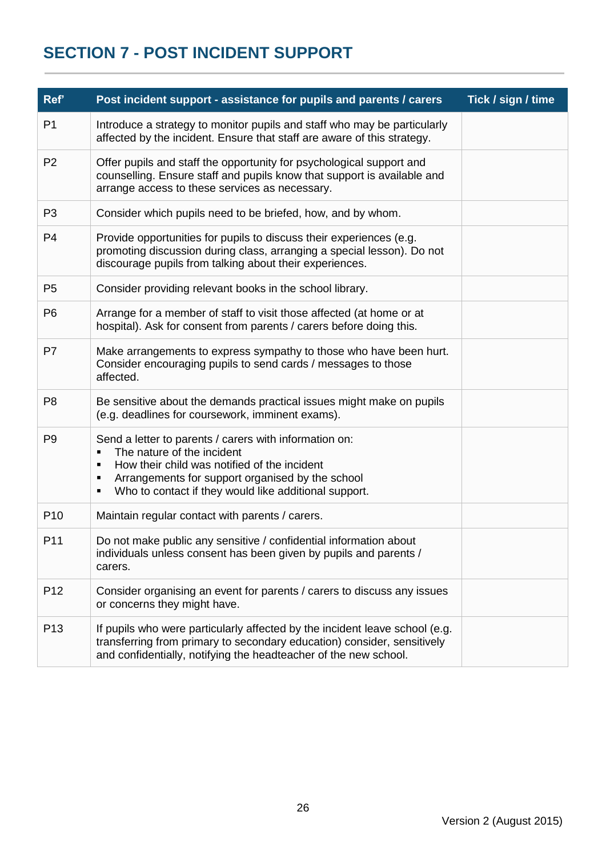## <span id="page-25-0"></span>**SECTION 7 - POST INCIDENT SUPPORT**

| Ref'            | Post incident support - assistance for pupils and parents / carers                                                                                                                                                                                                                              | Tick / sign / time |
|-----------------|-------------------------------------------------------------------------------------------------------------------------------------------------------------------------------------------------------------------------------------------------------------------------------------------------|--------------------|
| P <sub>1</sub>  | Introduce a strategy to monitor pupils and staff who may be particularly<br>affected by the incident. Ensure that staff are aware of this strategy.                                                                                                                                             |                    |
| P <sub>2</sub>  | Offer pupils and staff the opportunity for psychological support and<br>counselling. Ensure staff and pupils know that support is available and<br>arrange access to these services as necessary.                                                                                               |                    |
| P <sub>3</sub>  | Consider which pupils need to be briefed, how, and by whom.                                                                                                                                                                                                                                     |                    |
| P <sub>4</sub>  | Provide opportunities for pupils to discuss their experiences (e.g.<br>promoting discussion during class, arranging a special lesson). Do not<br>discourage pupils from talking about their experiences.                                                                                        |                    |
| P <sub>5</sub>  | Consider providing relevant books in the school library.                                                                                                                                                                                                                                        |                    |
| P <sub>6</sub>  | Arrange for a member of staff to visit those affected (at home or at<br>hospital). Ask for consent from parents / carers before doing this.                                                                                                                                                     |                    |
| P7              | Make arrangements to express sympathy to those who have been hurt.<br>Consider encouraging pupils to send cards / messages to those<br>affected.                                                                                                                                                |                    |
| P <sub>8</sub>  | Be sensitive about the demands practical issues might make on pupils<br>(e.g. deadlines for coursework, imminent exams).                                                                                                                                                                        |                    |
| P <sub>9</sub>  | Send a letter to parents / carers with information on:<br>The nature of the incident<br>$\blacksquare$<br>How their child was notified of the incident<br>$\blacksquare$<br>Arrangements for support organised by the school<br>٠<br>Who to contact if they would like additional support.<br>٠ |                    |
| P <sub>10</sub> | Maintain regular contact with parents / carers.                                                                                                                                                                                                                                                 |                    |
| P11             | Do not make public any sensitive / confidential information about<br>individuals unless consent has been given by pupils and parents /<br>carers.                                                                                                                                               |                    |
| P <sub>12</sub> | Consider organising an event for parents / carers to discuss any issues<br>or concerns they might have.                                                                                                                                                                                         |                    |
| P <sub>13</sub> | If pupils who were particularly affected by the incident leave school (e.g.<br>transferring from primary to secondary education) consider, sensitively<br>and confidentially, notifying the headteacher of the new school.                                                                      |                    |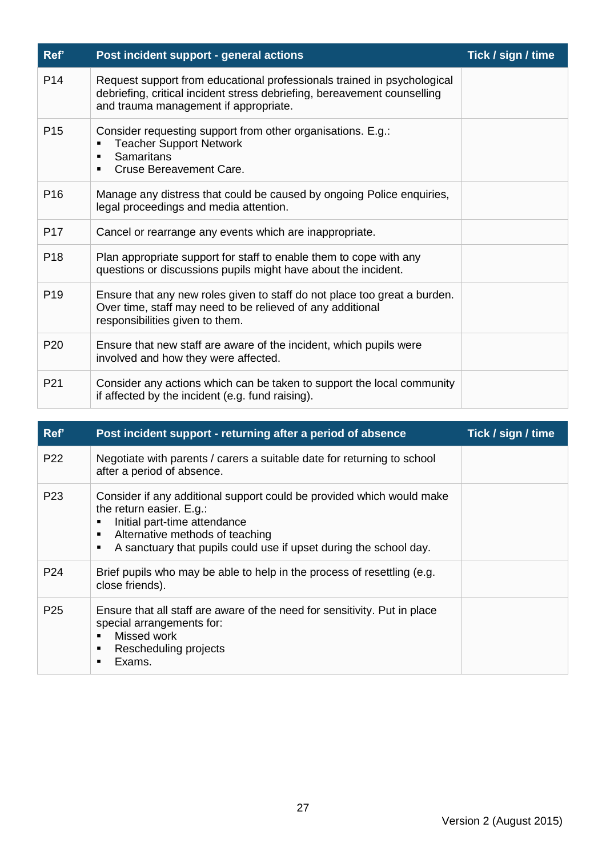| Ref'            | Post incident support - general actions                                                                                                                                                       | Tick / sign / time |
|-----------------|-----------------------------------------------------------------------------------------------------------------------------------------------------------------------------------------------|--------------------|
| P <sub>14</sub> | Request support from educational professionals trained in psychological<br>debriefing, critical incident stress debriefing, bereavement counselling<br>and trauma management if appropriate.  |                    |
| P <sub>15</sub> | Consider requesting support from other organisations. E.g.:<br><b>Teacher Support Network</b><br>г<br><b>Samaritans</b><br>$\blacksquare$<br><b>Cruse Bereavement Care.</b><br>$\blacksquare$ |                    |
| P <sub>16</sub> | Manage any distress that could be caused by ongoing Police enquiries,<br>legal proceedings and media attention.                                                                               |                    |
| P <sub>17</sub> | Cancel or rearrange any events which are inappropriate.                                                                                                                                       |                    |
| P <sub>18</sub> | Plan appropriate support for staff to enable them to cope with any<br>questions or discussions pupils might have about the incident.                                                          |                    |
| P <sub>19</sub> | Ensure that any new roles given to staff do not place too great a burden.<br>Over time, staff may need to be relieved of any additional<br>responsibilities given to them.                    |                    |
| P <sub>20</sub> | Ensure that new staff are aware of the incident, which pupils were<br>involved and how they were affected.                                                                                    |                    |
| P <sub>21</sub> | Consider any actions which can be taken to support the local community<br>if affected by the incident (e.g. fund raising).                                                                    |                    |

| Ref'            | Post incident support - returning after a period of absence                                                                                                                                                                                                           | Tick / sign / time |
|-----------------|-----------------------------------------------------------------------------------------------------------------------------------------------------------------------------------------------------------------------------------------------------------------------|--------------------|
| P <sub>22</sub> | Negotiate with parents / carers a suitable date for returning to school<br>after a period of absence.                                                                                                                                                                 |                    |
| P <sub>23</sub> | Consider if any additional support could be provided which would make<br>the return easier. E.g.:<br>Initial part-time attendance<br>п<br>Alternative methods of teaching<br>$\blacksquare$<br>A sanctuary that pupils could use if upset during the school day.<br>п |                    |
| P <sub>24</sub> | Brief pupils who may be able to help in the process of resettling (e.g.<br>close friends).                                                                                                                                                                            |                    |
| P <sub>25</sub> | Ensure that all staff are aware of the need for sensitivity. Put in place<br>special arrangements for:<br>Missed work<br>$\blacksquare$<br>Rescheduling projects<br>$\blacksquare$<br>Exams.<br>п                                                                     |                    |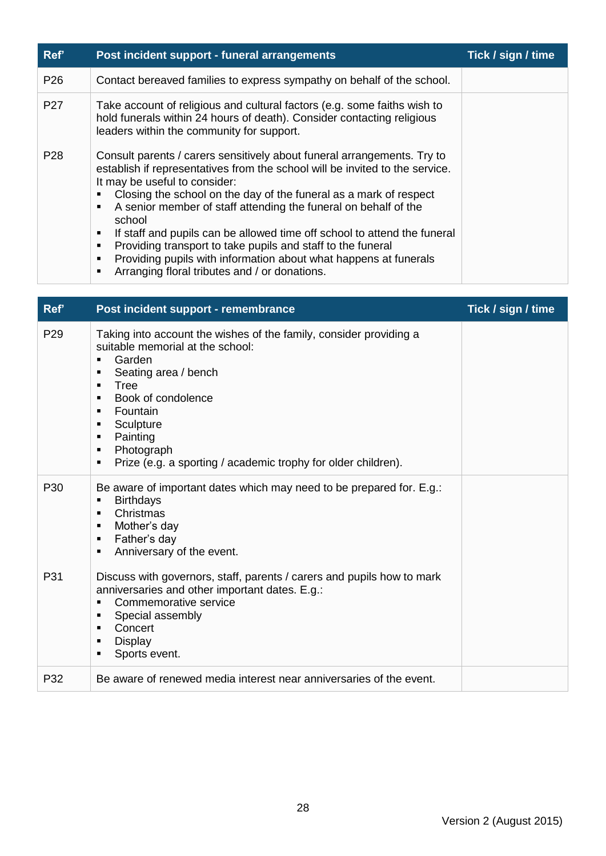| Ref'            | Post incident support - funeral arrangements                                                                                                                                                                                                                                                                                                                                                                                                                                                                                                                                                                                                                                    | Tick / sign / time |
|-----------------|---------------------------------------------------------------------------------------------------------------------------------------------------------------------------------------------------------------------------------------------------------------------------------------------------------------------------------------------------------------------------------------------------------------------------------------------------------------------------------------------------------------------------------------------------------------------------------------------------------------------------------------------------------------------------------|--------------------|
| P <sub>26</sub> | Contact bereaved families to express sympathy on behalf of the school.                                                                                                                                                                                                                                                                                                                                                                                                                                                                                                                                                                                                          |                    |
| P <sub>27</sub> | Take account of religious and cultural factors (e.g. some faiths wish to<br>hold funerals within 24 hours of death). Consider contacting religious<br>leaders within the community for support.                                                                                                                                                                                                                                                                                                                                                                                                                                                                                 |                    |
| P <sub>28</sub> | Consult parents / carers sensitively about funeral arrangements. Try to<br>establish if representatives from the school will be invited to the service.<br>It may be useful to consider:<br>Closing the school on the day of the funeral as a mark of respect<br>$\blacksquare$<br>A senior member of staff attending the funeral on behalf of the<br>$\blacksquare$<br>school<br>If staff and pupils can be allowed time off school to attend the funeral<br>п<br>Providing transport to take pupils and staff to the funeral<br>٠<br>Providing pupils with information about what happens at funerals<br>٠<br>Arranging floral tributes and / or donations.<br>$\blacksquare$ |                    |

| Ref'            | Post incident support - remembrance                                                                                                                                                                                                                                                                                                                                                                                   | Tick / sign / time |
|-----------------|-----------------------------------------------------------------------------------------------------------------------------------------------------------------------------------------------------------------------------------------------------------------------------------------------------------------------------------------------------------------------------------------------------------------------|--------------------|
| P <sub>29</sub> | Taking into account the wishes of the family, consider providing a<br>suitable memorial at the school:<br>Garden<br>$\blacksquare$<br>Seating area / bench<br>п<br>Tree<br>$\blacksquare$<br>Book of condolence<br>$\blacksquare$<br>Fountain<br>$\blacksquare$<br>Sculpture<br>п<br>Painting<br>$\blacksquare$<br>Photograph<br>$\blacksquare$<br>Prize (e.g. a sporting / academic trophy for older children).<br>п |                    |
| P <sub>30</sub> | Be aware of important dates which may need to be prepared for. E.g.:<br><b>Birthdays</b><br>$\blacksquare$<br>Christmas<br>$\blacksquare$<br>Mother's day<br>$\blacksquare$<br>Father's day<br>п<br>Anniversary of the event.<br>$\blacksquare$                                                                                                                                                                       |                    |
| P31             | Discuss with governors, staff, parents / carers and pupils how to mark<br>anniversaries and other important dates. E.g.:<br>Commemorative service<br>$\blacksquare$<br>Special assembly<br>п<br>Concert<br>$\blacksquare$<br><b>Display</b><br>п<br>Sports event.<br>п                                                                                                                                                |                    |
| P32             | Be aware of renewed media interest near anniversaries of the event.                                                                                                                                                                                                                                                                                                                                                   |                    |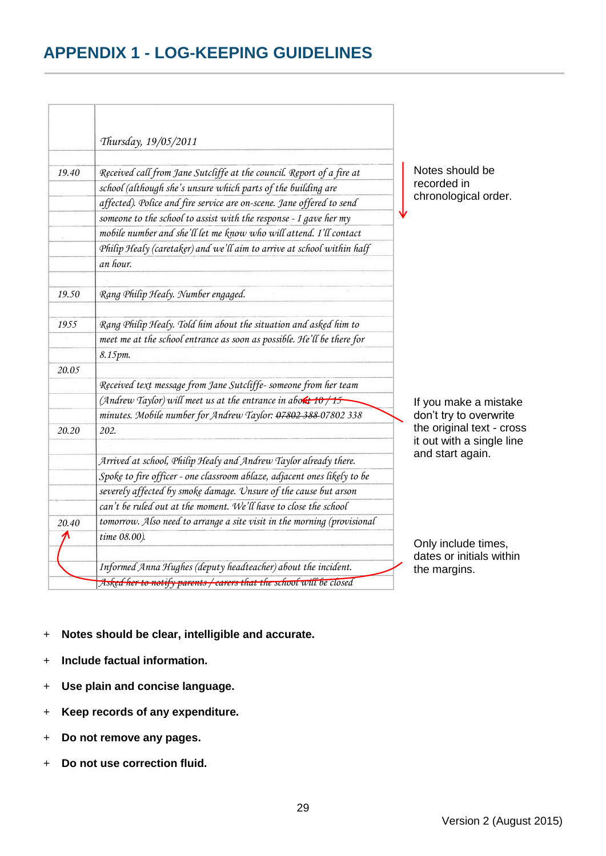#### **APPENDIX 1 - LOG-KEEPING GUIDELINES**

|       | Thursday, 19/05/2011                                                     |
|-------|--------------------------------------------------------------------------|
| 19.40 | Received call from Jane Sutcliffe at the council. Report of a fire at    |
|       | school (although she's unsure which parts of the building are            |
|       | affected). Police and fire service are on-scene. Jane offered to send    |
|       | someone to the school to assist with the response - I gave her my        |
|       | mobile number and she'll let me know who will attend. I'll contact       |
|       | Philip Healy (caretaker) and we'll aim to arrive at school within half   |
|       | an hour.                                                                 |
|       |                                                                          |
| 19.50 | Rang Philip Healy. Number engaged.                                       |
| 1955  | Rang Philip Healy. Told him about the situation and asked him to         |
|       | meet me at the school entrance as soon as possible. He'll be there for   |
|       | 8.15pm.                                                                  |
| 20.05 |                                                                          |
|       | Received text message from Jane Sutcliffe-someone from her team          |
|       | (Andrew Taylor) will meet us at the entrance in about $10/15$            |
|       | minutes. Mobile number for Andrew Taylor: 07802 388 07802 338            |
| 20.20 | 202.                                                                     |
|       | Arrived at school, Philip Healy and Andrew Taylor already there.         |
|       | Spoke to fire officer - one classroom ablaze, adjacent ones likely to be |
|       | severely affected by smoke damage. Unsure of the cause but arson         |
|       | can't be ruled out at the moment. We'll have to close the school         |
| 20.40 | tomorrow. Also need to arrange a site visit in the morning (provisional  |
|       | time 08.00).                                                             |
|       | Informed Anna Hughes (deputy headteacher) about the incident.            |
|       | Asked her to notify parents / carers that the school will be closed      |

s should be rded in nological order.

u make a mistake try to overwrite riginal text - cross  $with a single line$ start again.

include times. s or initials within nargins.

- + **Notes should be clear, intelligible and accurate.**
- + **Include factual information.**
- + **Use plain and concise language.**
- + **Keep records of any expenditure.**
- + **Do not remove any pages.**
- + **Do not use correction fluid.**